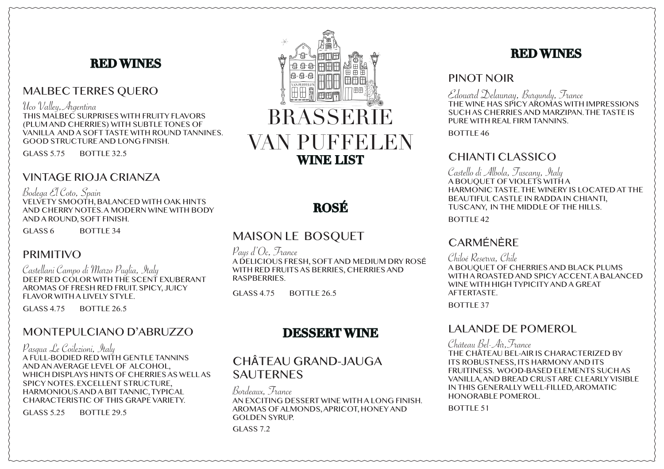# **RED WINES**

### MALBEC TERRES QUERO

Uco Valley,Argentina

THIS MALBEC SURPRISES WITH FRUITY FLAVORS (PLUM AND CHERRIES) WITH SUBTLE TONES OF VANILLA AND A SOFT TASTE WITH ROUND TANNINES. GOOD STRUCTURE AND LONG FINISH.

GLASS 5.75 BOTTLE 32.5

# VINTAGE RIOJA CRIANZA

Bodega El Coto, Spain VELVETY SMOOTH, BALANCED WITH OAK HINTS AND CHERRY NOTES. A MODERN WINE WITH BODY AND A ROUND, SOFT FINISH.

GLASS 6 BOTTLE 34

# PRIMITIVO

Castellani Campo di Marzo Puglia, Italy DEEP RED COLOR WITH THE SCENT EXUBERANT AROMAS OF FRESH RED FRUIT. SPICY, JUICY FLAVOR WITH A LIVELY STYLE.

GLASS 4.75 BOTTLE 26.5

# MONTEPULCIANO D'ABRUZZO

Pasqua Le Coilezioni, Italy A FULL-BODIED RED WITH GENTLE TANNINS AND AN AVERAGE LEVEL OF ALCOHOL, WHICH DISPLAYS HINTS OF CHERRIES AS WELL AS SPICY NOTES. EXCELLENT STRUCTURE, HARMONIOUS AND A BIT TANNIC, TYPICAL CHARACTERISTIC OF THIS GRAPE VARIETY.

GLASS  $5.25$  BOTTLE 29.5



# **ROSÉ**

# MAISON LE BOSQUET

Pays d'Oc, France A DELICIOUS FRESH, SOFT AND MEDIUM DRY ROSÉ WITH RED FRUITS AS BERRIES, CHERRIES AND **RASPBERRIES** 

GLASS  $4.75$  BOTTLE 26.5

# **DESSERT WINE**

# CHÂTEAU GRAND-JAUGA **SAUTERNES**

Bordeaux, France AN EXCITING DESSERT WINE WITH A LONG FINISH. AROMAS OF ALMONDS, APRICOT, HONEY AND GOLDEN SYRUP. GLASS 7.2

# **RED WINES**

#### PINOT NOIR

Edouard Delaunay, Burgundy, France THE WINE HAS SPICY AROMAS WITH IMPRESSIONS SUCH AS CHERRIES AND MARZIPAN. THE TASTE IS PURE WITH REAL FIRM TANNINS.

BOTTLE 46

# CHIANTI CLASSICO

Castello di Albola, Tuscany, Italy A BOUQUET OF VIOLETS WITH A HARMONIC TASTE. THE WINERY IS LOCATED AT THE BEAUTIFUL CASTLE IN RADDA IN CHIANTI, TUSCANY, IN THE MIDDLE OF THE HILLS.

BOTTLE 42

# **CARMÉNÈRE**

Chiloé Reserva, Chile

A BOUQUET OF CHERRIES AND BLACK PLUMS WITH A ROASTED AND SPICY ACCENT. A BALANCED WINE WITH HIGH TYPICITY AND A GREAT **AFTERTASTE** 

BOTTLE 37

### LALANDE DE POMEROL

Château Bel-Air,France THE CHÂTEAU BEL-AIR IS CHARACTERIZED BY ITS ROBUSTNESS, ITS HARMONY AND ITS FRUITINESS. WOOD-BASED ELEMENTS SUCH AS VANILLA, AND BREAD CRUST ARE CLEARLY VISIBLE IN THIS GENERALLY WELL-FILLED, AROMATIC HONORABLE POMEROL.

BOTTLE 51